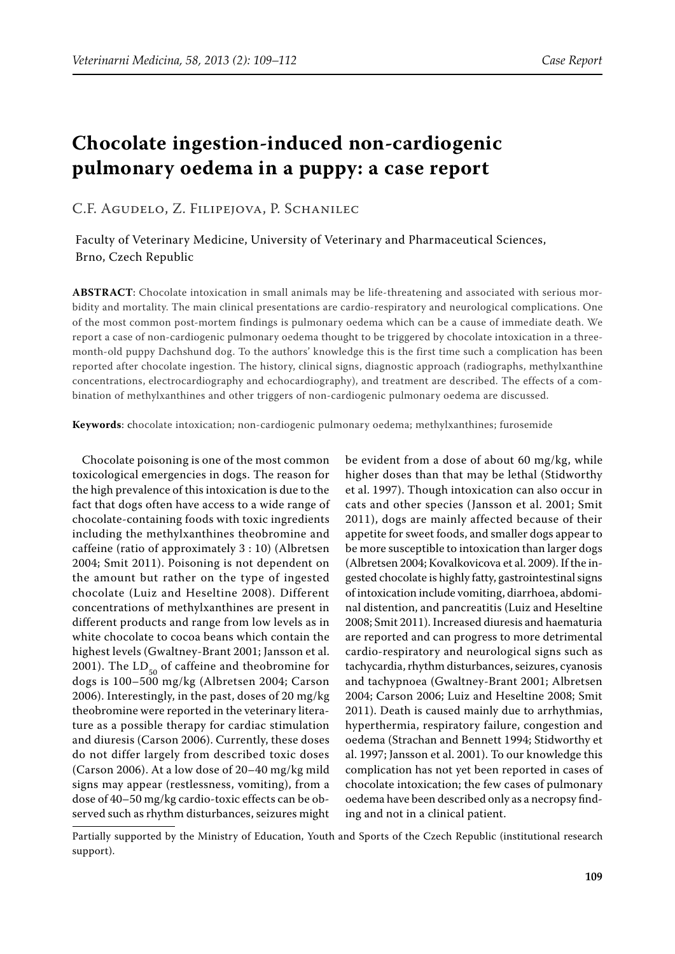# **Chocolate ingestion-induced non-cardiogenic pulmonary oedema in a puppy: a case report**

## C.F. Agudelo, Z. Filipejova, P. Schanilec

## Faculty of Veterinary Medicine, University of Veterinary and Pharmaceutical Sciences, Brno, Czech Republic

**ABSTRACT**: Chocolate intoxication in small animals may be life-threatening and associated with serious morbidity and mortality. The main clinical presentations are cardio-respiratory and neurological complications. One of the most common post-mortem findings is pulmonary oedema which can be a cause of immediate death. We report a case of non-cardiogenic pulmonary oedema thought to be triggered by chocolate intoxication in a threemonth-old puppy Dachshund dog. To the authors' knowledge this is the first time such a complication has been reported after chocolate ingestion. The history, clinical signs, diagnostic approach (radiographs, methylxanthine concentrations, electrocardiography and echocardiography), and treatment are described. The effects of a combination of methylxanthines and other triggers of non-cardiogenic pulmonary oedema are discussed.

**Keywords**: chocolate intoxication; non-cardiogenic pulmonary oedema; methylxanthines; furosemide

Chocolate poisoning is one of the most common toxicological emergencies in dogs. The reason for the high prevalence of this intoxication is due to the fact that dogs often have access to a wide range of chocolate-containing foods with toxic ingredients including the methylxanthines theobromine and caffeine (ratio of approximately 3 : 10) (Albretsen 2004; Smit 2011). Poisoning is not dependent on the amount but rather on the type of ingested chocolate (Luiz and Heseltine 2008). Different concentrations of methylxanthines are present in different products and range from low levels as in white chocolate to cocoa beans which contain the highest levels (Gwaltney-Brant 2001; Jansson et al. 2001). The  $\mathrm{LD}_{50}$  of caffeine and the<br>obromine for dogs is 100–500 mg/kg (Albretsen 2004; Carson 2006). Interestingly, in the past, doses of 20 mg/kg theobromine were reported in the veterinary literature as a possible therapy for cardiac stimulation and diuresis (Carson 2006). Currently, these doses do not differ largely from described toxic doses (Carson 2006). At a low dose of 20–40 mg/kg mild signs may appear (restlessness, vomiting), from a dose of 40–50 mg/kg cardio-toxic effects can be observed such as rhythm disturbances, seizures might

be evident from a dose of about 60 mg/kg, while higher doses than that may be lethal (Stidworthy et al. 1997). Though intoxication can also occur in cats and other species (Jansson et al. 2001; Smit 2011), dogs are mainly affected because of their appetite for sweet foods, and smaller dogs appear to be more susceptible to intoxication than larger dogs (Albretsen 2004; Kovalkovicova et al. 2009). If the ingested chocolate is highly fatty, gastrointestinal signs of intoxication include vomiting, diarrhoea, abdominal distention, and pancreatitis (Luiz and Heseltine 2008; Smit 2011). Increased diuresis and haematuria are reported and can progress to more detrimental cardio-respiratory and neurological signs such as tachycardia, rhythm disturbances, seizures, cyanosis and tachypnoea (Gwaltney-Brant 2001; Albretsen 2004; Carson 2006; Luiz and Heseltine 2008; Smit 2011). Death is caused mainly due to arrhythmias, hyperthermia, respiratory failure, congestion and oedema (Strachan and Bennett 1994; Stidworthy et al. 1997; Jansson et al. 2001). To our knowledge this complication has not yet been reported in cases of chocolate intoxication; the few cases of pulmonary oedema have been described only as a necropsy finding and not in a clinical patient.

Partially supported by the Ministry of Education, Youth and Sports of the Czech Republic (institutional research support).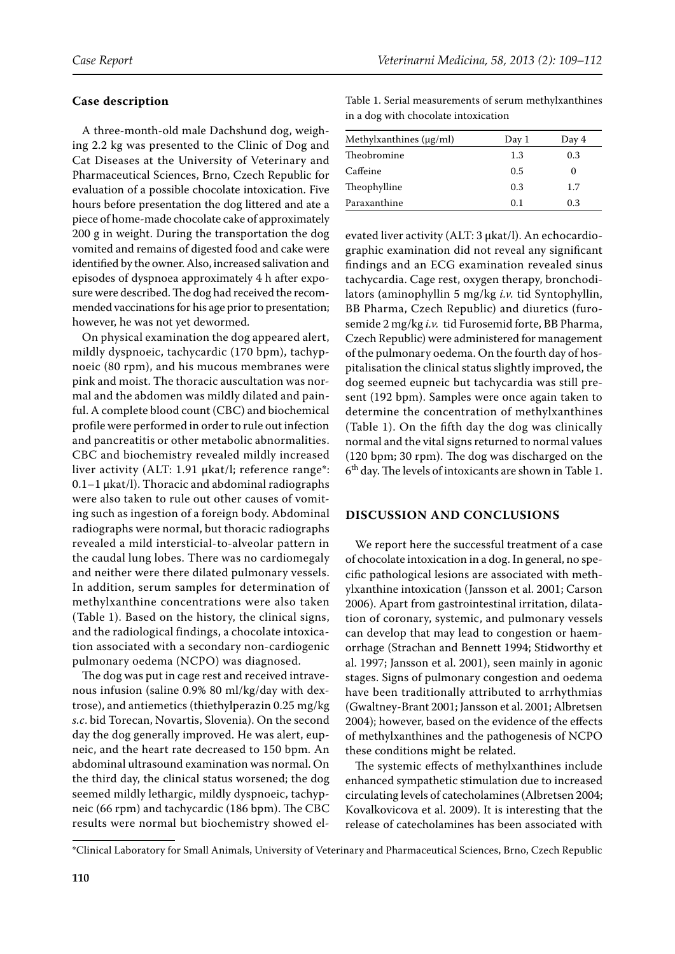#### **Case description**

A three-month-old male Dachshund dog, weighing 2.2 kg was presented to the Clinic of Dog and Cat Diseases at the University of Veterinary and Pharmaceutical Sciences, Brno, Czech Republic for evaluation of a possible chocolate intoxication. Five hours before presentation the dog littered and ate a piece of home-made chocolate cake of approximately 200 g in weight. During the transportation the dog vomited and remains of digested food and cake were identified by the owner. Also, increased salivation and episodes of dyspnoea approximately 4 h after exposure were described. The dog had received the recommended vaccinations for his age prior to presentation; however, he was not yet dewormed.

On physical examination the dog appeared alert, mildly dyspnoeic, tachycardic (170 bpm), tachypnoeic (80 rpm), and his mucous membranes were pink and moist. The thoracic auscultation was normal and the abdomen was mildly dilated and painful. A complete blood count (CBC) and biochemical profile were performed in order to rule out infection and pancreatitis or other metabolic abnormalities. CBC and biochemistry revealed mildly increased liver activity (ALT: 1.91 μkat/l; reference range\*: 0.1–1 μkat/l). Thoracic and abdominal radiographs were also taken to rule out other causes of vomiting such as ingestion of a foreign body. Abdominal radiographs were normal, but thoracic radiographs revealed a mild intersticial-to-alveolar pattern in the caudal lung lobes. There was no cardiomegaly and neither were there dilated pulmonary vessels. In addition, serum samples for determination of methylxanthine concentrations were also taken (Table 1). Based on the history, the clinical signs, and the radiological findings, a chocolate intoxication associated with a secondary non-cardiogenic pulmonary oedema (NCPO) was diagnosed.

The dog was put in cage rest and received intravenous infusion (saline 0.9% 80 ml/kg/day with dextrose), and antiemetics (thiethylperazin 0.25 mg/kg *s.c*. bid Torecan, Novartis, Slovenia). On the second day the dog generally improved. He was alert, eupneic, and the heart rate decreased to 150 bpm. An abdominal ultrasound examination was normal. On the third day, the clinical status worsened; the dog seemed mildly lethargic, mildly dyspnoeic, tachypneic (66 rpm) and tachycardic (186 bpm). The CBC results were normal but biochemistry showed elTable 1. Serial measurements of serum methylxanthines in a dog with chocolate intoxication

| Methylxanthines $(\mu g/ml)$ | Day 1 | Day 4    |
|------------------------------|-------|----------|
| Theobromine                  | 1.3   | 0.3      |
| Caffeine                     | 0.5   | $\theta$ |
| Theophylline                 | 0.3   | 1.7      |
| Paraxanthine                 | 0.1   | 0.3      |

evated liver activity (ALT: 3 μkat/l). An echocardiographic examination did not reveal any significant findings and an ECG examination revealed sinus tachycardia. Cage rest, oxygen therapy, bronchodilators (aminophyllin 5 mg/kg *i.v.* tid Syntophyllin, BB Pharma, Czech Republic) and diuretics (furosemide 2 mg/kg *i.v.* tid Furosemid forte, BB Pharma, Czech Republic) were administered for management of the pulmonary oedema. On the fourth day of hospitalisation the clinical status slightly improved, the dog seemed eupneic but tachycardia was still present (192 bpm). Samples were once again taken to determine the concentration of methylxanthines (Table 1). On the fifth day the dog was clinically normal and the vital signs returned to normal values (120 bpm; 30 rpm). The dog was discharged on the 6th day. The levels of intoxicants are shown in Table 1.

#### **DISCUSSION AND CONCLUSIONS**

We report here the successful treatment of a case of chocolate intoxication in a dog. In general, no specific pathological lesions are associated with methylxanthine intoxication (Jansson et al. 2001; Carson 2006). Apart from gastrointestinal irritation, dilatation of coronary, systemic, and pulmonary vessels can develop that may lead to congestion or haemorrhage (Strachan and Bennett 1994; Stidworthy et al. 1997; Jansson et al. 2001), seen mainly in agonic stages. Signs of pulmonary congestion and oedema have been traditionally attributed to arrhythmias (Gwaltney-Brant 2001; Jansson et al. 2001; Albretsen 2004); however, based on the evidence of the effects of methylxanthines and the pathogenesis of NCPO these conditions might be related.

The systemic effects of methylxanthines include enhanced sympathetic stimulation due to increased circulating levels of catecholamines (Albretsen 2004; Kovalkovicova et al. 2009). It is interesting that the release of catecholamines has been associated with

<sup>\*</sup>Clinical Laboratory for Small Animals, University of Veterinary and Pharmaceutical Sciences, Brno, Czech Republic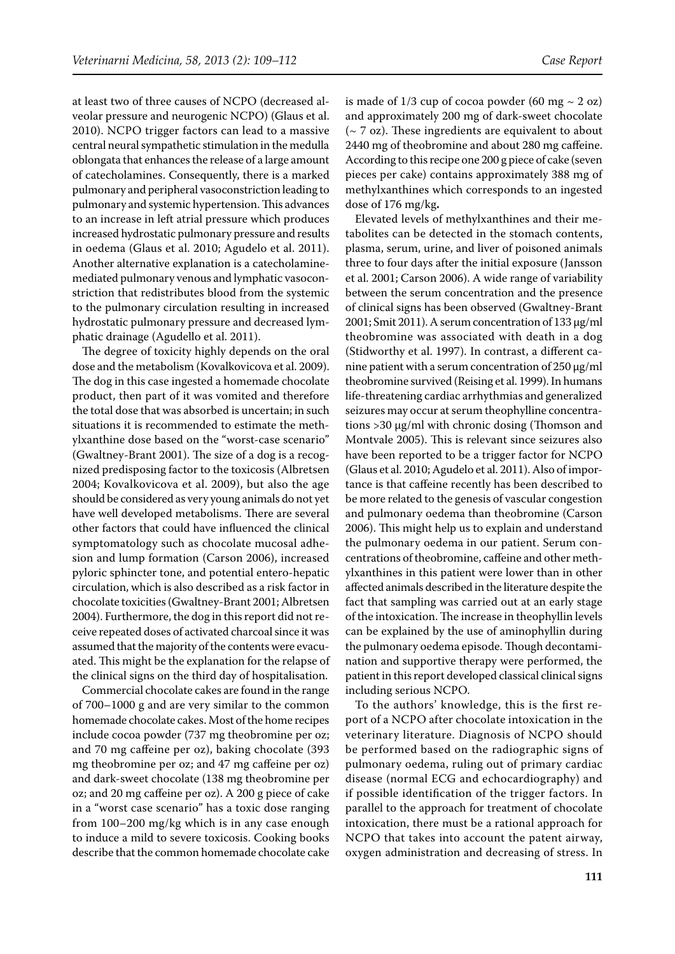at least two of three causes of NCPO (decreased alveolar pressure and neurogenic NCPO) (Glaus et al. 2010). NCPO trigger factors can lead to a massive central neural sympathetic stimulation in the medulla oblongata that enhances the release of a large amount of catecholamines. Consequently, there is a marked pulmonary and peripheral vasoconstriction leading to pulmonary and systemic hypertension. This advances to an increase in left atrial pressure which produces increased hydrostatic pulmonary pressure and results in oedema (Glaus et al. 2010; Agudelo et al. 2011). Another alternative explanation is a catecholaminemediated pulmonary venous and lymphatic vasoconstriction that redistributes blood from the systemic to the pulmonary circulation resulting in increased hydrostatic pulmonary pressure and decreased lymphatic drainage (Agudello et al. 2011).

The degree of toxicity highly depends on the oral dose and the metabolism (Kovalkovicova et al. 2009). The dog in this case ingested a homemade chocolate product, then part of it was vomited and therefore the total dose that was absorbed is uncertain; in such situations it is recommended to estimate the methylxanthine dose based on the "worst-case scenario" (Gwaltney-Brant 2001). The size of a dog is a recognized predisposing factor to the toxicosis (Albretsen 2004; Kovalkovicova et al. 2009), but also the age should be considered as very young animals do not yet have well developed metabolisms. There are several other factors that could have influenced the clinical symptomatology such as chocolate mucosal adhesion and lump formation (Carson 2006), increased pyloric sphincter tone, and potential entero-hepatic circulation, which is also described as a risk factor in chocolate toxicities (Gwaltney-Brant 2001; Albretsen 2004). Furthermore, the dog in this report did not receive repeated doses of activated charcoal since it was assumed that the majority of the contents were evacuated. This might be the explanation for the relapse of the clinical signs on the third day of hospitalisation.

Commercial chocolate cakes are found in the range of 700–1000 g and are very similar to the common homemade chocolate cakes. Most of the home recipes include cocoa powder (737 mg theobromine per oz; and 70 mg caffeine per oz), baking chocolate (393 mg theobromine per oz; and 47 mg caffeine per oz) and dark-sweet chocolate (138 mg theobromine per oz; and 20 mg caffeine per oz). A 200 g piece of cake in a "worst case scenario" has a toxic dose ranging from 100–200 mg/kg which is in any case enough to induce a mild to severe toxicosis. Cooking books describe that the common homemade chocolate cake is made of  $1/3$  cup of cocoa powder (60 mg  $\sim$  2 oz) and approximately 200 mg of dark-sweet chocolate (~ 7 oz). These ingredients are equivalent to about 2440 mg of theobromine and about 280 mg caffeine. According to this recipe one 200 g piece of cake (seven pieces per cake) contains approximately 388 mg of methylxanthines which corresponds to an ingested dose of 176 mg/kg**.**

Elevated levels of methylxanthines and their metabolites can be detected in the stomach contents, plasma, serum, urine, and liver of poisoned animals three to four days after the initial exposure (Jansson et al. 2001; Carson 2006). A wide range of variability between the serum concentration and the presence of clinical signs has been observed (Gwaltney-Brant 2001; Smit 2011). A serum concentration of 133 μg/ml theobromine was associated with death in a dog (Stidworthy et al. 1997). In contrast, a different canine patient with a serum concentration of 250 μg/ml theobromine survived (Reising et al. 1999). In humans life-threatening cardiac arrhythmias and generalized seizures may occur at serum theophylline concentrations >30 µg/ml with chronic dosing (Thomson and Montvale 2005). This is relevant since seizures also have been reported to be a trigger factor for NCPO (Glaus et al. 2010; Agudelo et al. 2011). Also of importance is that caffeine recently has been described to be more related to the genesis of vascular congestion and pulmonary oedema than theobromine (Carson 2006). This might help us to explain and understand the pulmonary oedema in our patient. Serum concentrations of theobromine, caffeine and other methylxanthines in this patient were lower than in other affected animals described in the literature despite the fact that sampling was carried out at an early stage of the intoxication. The increase in theophyllin levels can be explained by the use of aminophyllin during the pulmonary oedema episode. Though decontamination and supportive therapy were performed, the patient in this report developed classical clinical signs including serious NCPO.

To the authors' knowledge, this is the first report of a NCPO after chocolate intoxication in the veterinary literature. Diagnosis of NCPO should be performed based on the radiographic signs of pulmonary oedema, ruling out of primary cardiac disease (normal ECG and echocardiography) and if possible identification of the trigger factors. In parallel to the approach for treatment of chocolate intoxication, there must be a rational approach for NCPO that takes into account the patent airway, oxygen administration and decreasing of stress. In